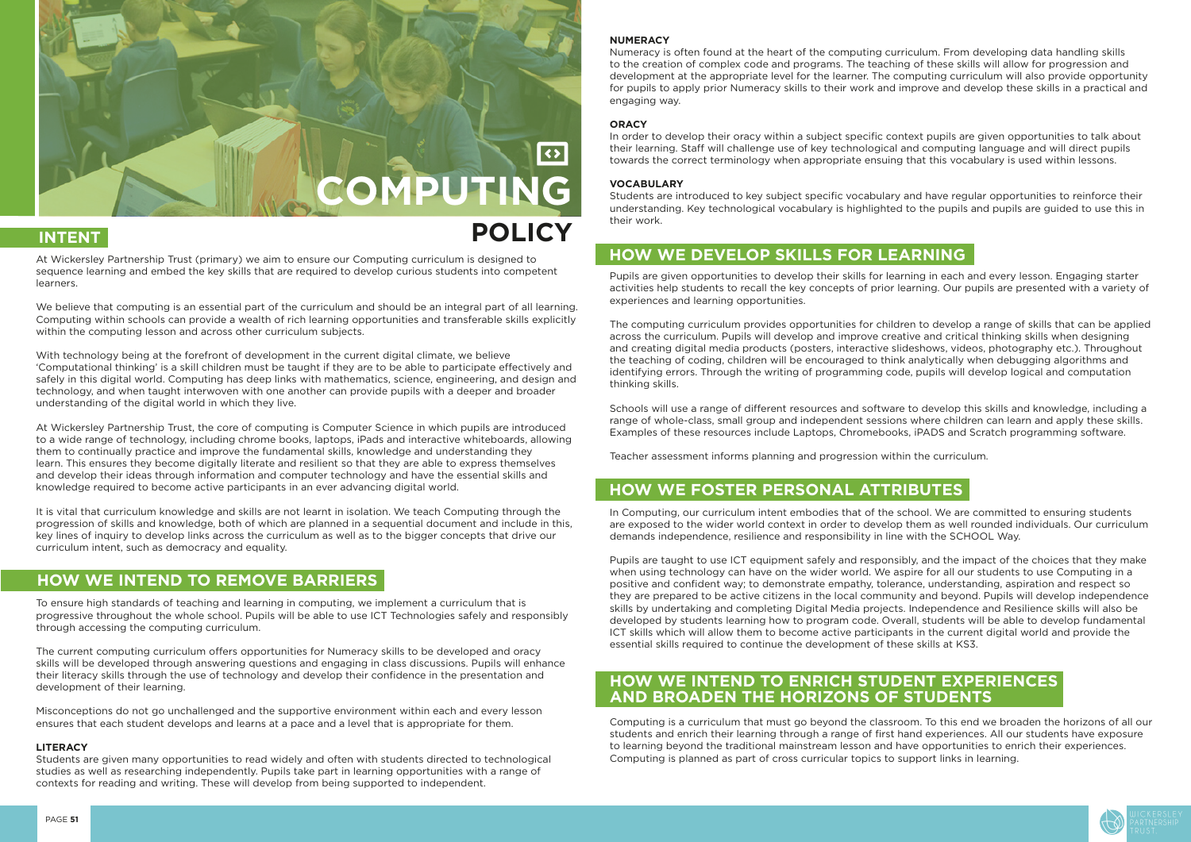

At Wickersley Partnership Trust (primary) we aim to ensure our Computing curriculum is designed to sequence learning and embed the key skills that are required to develop curious students into competent learners.

We believe that computing is an essential part of the curriculum and should be an integral part of all learning. Computing within schools can provide a wealth of rich learning opportunities and transferable skills explicitly within the computing lesson and across other curriculum subjects.

With technology being at the forefront of development in the current digital climate, we believe 'Computational thinking' is a skill children must be taught if they are to be able to participate effectively and safely in this digital world. Computing has deep links with mathematics, science, engineering, and design and technology, and when taught interwoven with one another can provide pupils with a deeper and broader understanding of the digital world in which they live.

At Wickersley Partnership Trust, the core of computing is Computer Science in which pupils are introduced to a wide range of technology, including chrome books, laptops, iPads and interactive whiteboards, allowing them to continually practice and improve the fundamental skills, knowledge and understanding they learn. This ensures they become digitally literate and resilient so that they are able to express themselves and develop their ideas through information and computer technology and have the essential skills and knowledge required to become active participants in an ever advancing digital world.

It is vital that curriculum knowledge and skills are not learnt in isolation. We teach Computing through the progression of skills and knowledge, both of which are planned in a sequential document and include in this, key lines of inquiry to develop links across the curriculum as well as to the bigger concepts that drive our curriculum intent, such as democracy and equality.

To ensure high standards of teaching and learning in computing, we implement a curriculum that is progressive throughout the whole school. Pupils will be able to use ICT Technologies safely and responsibly through accessing the computing curriculum.

The current computing curriculum offers opportunities for Numeracy skills to be developed and oracy skills will be developed through answering questions and engaging in class discussions. Pupils will enhance their literacy skills through the use of technology and develop their confidence in the presentation and development of their learning.

Misconceptions do not go unchallenged and the supportive environment within each and every lesson ensures that each student develops and learns at a pace and a level that is appropriate for them.

#### **LITERACY**

Students are given many opportunities to read widely and often with students directed to technological studies as well as researching independently. Pupils take part in learning opportunities with a range of contexts for reading and writing. These will develop from being supported to independent.

#### **NUMERACY**

Numeracy is often found at the heart of the computing curriculum. From developing data handling skills to the creation of complex code and programs. The teaching of these skills will allow for progression and development at the appropriate level for the learner. The computing curriculum will also provide opportunity for pupils to apply prior Numeracy skills to their work and improve and develop these skills in a practical and engaging way.

### **ORACY**

In order to develop their oracy within a subject specific context pupils are given opportunities to talk about their learning. Staff will challenge use of key technological and computing language and will direct pupils towards the correct terminology when appropriate ensuing that this vocabulary is used within lessons.

#### **VOCABULARY**

Students are introduced to key subject specific vocabulary and have regular opportunities to reinforce their understanding. Key technological vocabulary is highlighted to the pupils and pupils are guided to use this in their work.

Pupils are given opportunities to develop their skills for learning in each and every lesson. Engaging starter activities help students to recall the key concepts of prior learning. Our pupils are presented with a variety of experiences and learning opportunities.

The computing curriculum provides opportunities for children to develop a range of skills that can be applied across the curriculum. Pupils will develop and improve creative and critical thinking skills when designing and creating digital media products (posters, interactive slideshows, videos, photography etc.). Throughout the teaching of coding, children will be encouraged to think analytically when debugging algorithms and identifying errors. Through the writing of programming code, pupils will develop logical and computation thinking skills.

Schools will use a range of different resources and software to develop this skills and knowledge, including a range of whole-class, small group and independent sessions where children can learn and apply these skills. Examples of these resources include Laptops, Chromebooks, iPADS and Scratch programming software.

Teacher assessment informs planning and progression within the curriculum.

In Computing, our curriculum intent embodies that of the school. We are committed to ensuring students are exposed to the wider world context in order to develop them as well rounded individuals. Our curriculum demands independence, resilience and responsibility in line with the SCHOOL Way.

Pupils are taught to use ICT equipment safely and responsibly, and the impact of the choices that they make when using technology can have on the wider world. We aspire for all our students to use Computing in a positive and confident way; to demonstrate empathy, tolerance, understanding, aspiration and respect so they are prepared to be active citizens in the local community and beyond. Pupils will develop independence skills by undertaking and completing Digital Media projects. Independence and Resilience skills will also be developed by students learning how to program code. Overall, students will be able to develop fundamental ICT skills which will allow them to become active participants in the current digital world and provide the essential skills required to continue the development of these skills at KS3.

Computing is a curriculum that must go beyond the classroom. To this end we broaden the horizons of all our students and enrich their learning through a range of first hand experiences. All our students have exposure to learning beyond the traditional mainstream lesson and have opportunities to enrich their experiences. Computing is planned as part of cross curricular topics to support links in learning.



# **INTENT POLICY**

## **HOW WE INTEND TO REMOVE BARRIERS**

## **HOW WE DEVELOP SKILLS FOR LEARNING**

## **HOW WE FOSTER PERSONAL ATTRIBUTES**

## **HOW WE INTEND TO ENRICH STUDENT EXPERIENCES AND BROADEN THE HORIZONS OF STUDENTS**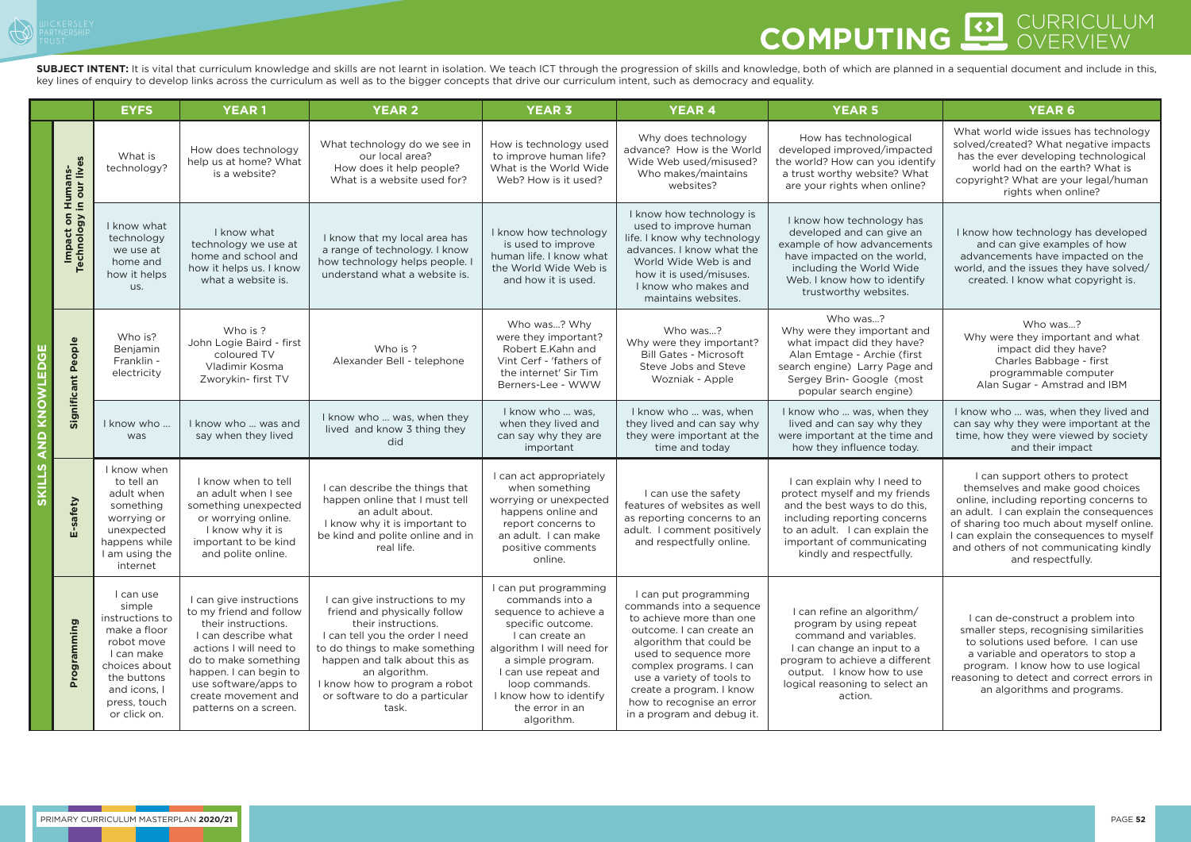

## CURRICULUM **COMPUTING**

SUBJECT INTENT: It is vital that curriculum knowledge and skills are not learnt in isolation. We teach ICT through the progression of skills and knowledge, both of which are planned in a sequential document and include in key lines of enquiry to develop links across the curriculum as well as to the bigger concepts that drive our curriculum intent, such as democracy and equality.

|                                                      |                                           | <b>EYFS</b>                                                                                                                                                        | <b>YEAR1</b>                                                                                                                                                                                                                                         | <b>YEAR 2</b>                                                                                                                                                                                                                                                                           | <b>YEAR 3</b>                                                                                                                                                                                                                                                    | <b>YEAR 4</b>                                                                                                                                                                                                                                                                                                | <b>YEAR 5</b>                                                                                                                                                                                                             | <b>YEAR 6</b>                                                                                                                                                                                                                                                                                                     |
|------------------------------------------------------|-------------------------------------------|--------------------------------------------------------------------------------------------------------------------------------------------------------------------|------------------------------------------------------------------------------------------------------------------------------------------------------------------------------------------------------------------------------------------------------|-----------------------------------------------------------------------------------------------------------------------------------------------------------------------------------------------------------------------------------------------------------------------------------------|------------------------------------------------------------------------------------------------------------------------------------------------------------------------------------------------------------------------------------------------------------------|--------------------------------------------------------------------------------------------------------------------------------------------------------------------------------------------------------------------------------------------------------------------------------------------------------------|---------------------------------------------------------------------------------------------------------------------------------------------------------------------------------------------------------------------------|-------------------------------------------------------------------------------------------------------------------------------------------------------------------------------------------------------------------------------------------------------------------------------------------------------------------|
|                                                      | Humans-<br>in our lives                   | What is<br>technology?                                                                                                                                             | How does technology<br>help us at home? What<br>is a website?                                                                                                                                                                                        | What technology do we see in<br>our local area?<br>How does it help people?<br>What is a website used for?                                                                                                                                                                              | How is technology used<br>to improve human life?<br>What is the World Wide<br>Web? How is it used?                                                                                                                                                               | Why does technology<br>advance? How is the World<br>Wide Web used/misused?<br>Who makes/maintains<br>websites?                                                                                                                                                                                               | How has technological<br>developed improved/impacted<br>the world? How can you identify<br>a trust worthy website? What<br>are your rights when online?                                                                   | What world wide issues has technology<br>solved/created? What negative impacts<br>has the ever developing technological<br>world had on the earth? What is<br>copyright? What are your legal/human<br>rights when online?                                                                                         |
|                                                      | $\mathbf{a}$<br>Impact on<br>Technology i | I know what<br>technology<br>we use at<br>home and<br>how it helps<br>us.                                                                                          | I know what<br>technology we use at<br>home and school and<br>how it helps us. I know<br>what a website is.                                                                                                                                          | I know that my local area has<br>a range of technology. I know<br>how technology helps people.<br>understand what a website is.                                                                                                                                                         | I know how technology<br>is used to improve<br>human life. I know what<br>the World Wide Web is<br>and how it is used.                                                                                                                                           | I know how technology is<br>used to improve human<br>life. I know why technology<br>advances. I know what the<br>World Wide Web is and<br>how it is used/misuses.<br>I know who makes and<br>maintains websites.                                                                                             | I know how technology has<br>developed and can give an<br>example of how advancements<br>have impacted on the world,<br>including the World Wide<br>Web. I know how to identify<br>trustworthy websites.                  | I know how technology has developed<br>and can give examples of how<br>advancements have impacted on the<br>world, and the issues they have solved/<br>created. I know what copyright is.                                                                                                                         |
| EDG<br>L                                             | Significant People                        | Who is?<br>Benjamin<br>Franklin -<br>electricity                                                                                                                   | Who is?<br>John Logie Baird - first<br>coloured TV<br>Vladimir Kosma<br>Zworykin- first TV                                                                                                                                                           | Who is ?<br>Alexander Bell - telephone                                                                                                                                                                                                                                                  | Who was? Why<br>were they important?<br>Robert E.Kahn and<br>Vint Cerf - 'fathers of<br>the internet' Sir Tim<br>Berners-Lee - WWW                                                                                                                               | Who was?<br>Why were they important?<br><b>Bill Gates - Microsoft</b><br>Steve Jobs and Steve<br>Wozniak - Apple                                                                                                                                                                                             | Who was?<br>Why were they important and<br>what impact did they have?<br>Alan Emtage - Archie (first<br>search engine) Larry Page and<br>Sergey Brin- Google (most<br>popular search engine)                              | Who was?<br>Why were they important and what<br>impact did they have?<br>Charles Babbage - first<br>programmable computer<br>Alan Sugar - Amstrad and IBM                                                                                                                                                         |
| <b>TAOMT</b><br>$\frac{\mathsf{o}}{\mathsf{z}}$<br>⋖ |                                           | I know who<br>was                                                                                                                                                  | I know who  was and<br>say when they lived                                                                                                                                                                                                           | I know who  was, when they<br>lived and know 3 thing they<br>did                                                                                                                                                                                                                        | I know who  was,<br>when they lived and<br>can say why they are<br>important                                                                                                                                                                                     | I know who  was, when<br>they lived and can say why<br>they were important at the<br>time and today                                                                                                                                                                                                          | I know who  was, when they<br>lived and can say why they<br>were important at the time and<br>how they influence today.                                                                                                   | I know who  was, when they lived and<br>can say why they were important at the<br>time, how they were viewed by society<br>and their impact                                                                                                                                                                       |
| <u>ທ</u><br><b>SKILL</b>                             | E-safety                                  | I know when<br>to tell an<br>adult when<br>something<br>worrying or<br>unexpected<br>happens while<br>I am using the<br>internet                                   | I know when to tell<br>an adult when I see<br>something unexpected<br>or worrying online.<br>I know why it is<br>important to be kind<br>and polite online.                                                                                          | I can describe the things that<br>happen online that I must tell<br>an adult about.<br>I know why it is important to<br>be kind and polite online and in<br>real life.                                                                                                                  | I can act appropriately<br>when something<br>worrying or unexpected<br>happens online and<br>report concerns to<br>an adult. I can make<br>positive comments<br>online.                                                                                          | I can use the safety<br>features of websites as well<br>as reporting concerns to an<br>adult. I comment positively<br>and respectfully online.                                                                                                                                                               | I can explain why I need to<br>protect myself and my friends<br>and the best ways to do this,<br>including reporting concerns<br>to an adult. I can explain the<br>important of communicating<br>kindly and respectfully. | I can support others to protect<br>themselves and make good choices<br>online, including reporting concerns to<br>an adult. I can explain the consequences<br>of sharing too much about myself online.<br>I can explain the consequences to myself<br>and others of not communicating kindly<br>and respectfully. |
|                                                      | Programming                               | I can use<br>simple<br>instructions to<br>make a floor<br>robot move<br>I can make<br>choices about<br>the buttons<br>and icons, I<br>press, touch<br>or click on. | I can give instructions<br>to my friend and follow<br>their instructions.<br>I can describe what<br>actions I will need to<br>do to make something<br>happen. I can begin to<br>use software/apps to<br>create movement and<br>patterns on a screen. | I can give instructions to my<br>friend and physically follow<br>their instructions.<br>I can tell you the order I need<br>to do things to make something<br>happen and talk about this as<br>an algorithm.<br>I know how to program a robot<br>or software to do a particular<br>task. | I can put programming<br>commands into a<br>sequence to achieve a<br>specific outcome.<br>I can create an<br>algorithm I will need for<br>a simple program.<br>I can use repeat and<br>loop commands.<br>I know how to identify<br>the error in an<br>algorithm. | I can put programming<br>commands into a sequence<br>to achieve more than one<br>outcome. I can create an<br>algorithm that could be<br>used to sequence more<br>complex programs. I can<br>use a variety of tools to<br>create a program. I know<br>how to recognise an error<br>in a program and debug it. | I can refine an algorithm/<br>program by using repeat<br>command and variables.<br>can change an input to a<br>program to achieve a different<br>output. I know how to use<br>logical reasoning to select an<br>action.   | I can de-construct a problem into<br>smaller steps, recognising similarities<br>to solutions used before. I can use<br>a variable and operators to stop a<br>program. I know how to use logical<br>reasoning to detect and correct errors in<br>an algorithms and programs.                                       |